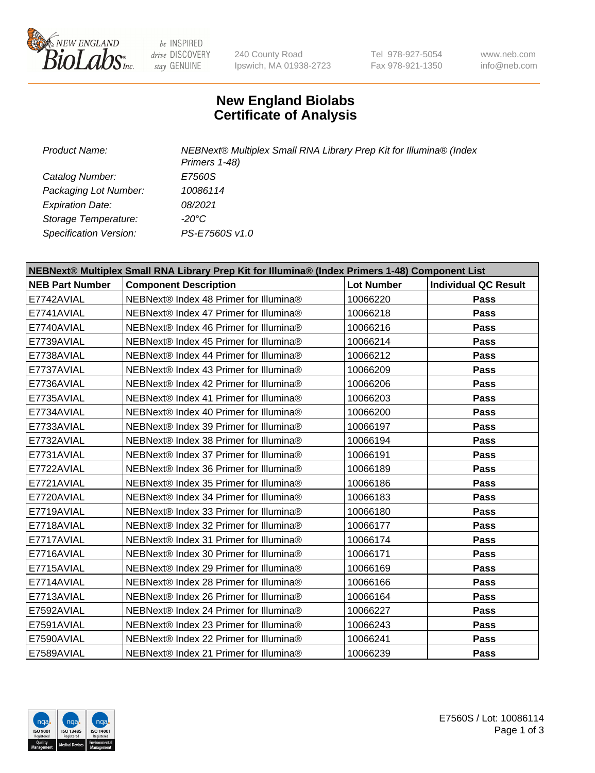

be INSPIRED drive DISCOVERY stay GENUINE

240 County Road Ipswich, MA 01938-2723 Tel 978-927-5054 Fax 978-921-1350

www.neb.com info@neb.com

## **New England Biolabs Certificate of Analysis**

*Product Name: NEBNext® Multiplex Small RNA Library Prep Kit for Illumina® (Index Primers 1-48) Catalog Number: E7560S Packaging Lot Number: 10086114 Expiration Date: 08/2021 Storage Temperature: -20°C Specification Version: PS-E7560S v1.0*

| NEBNext® Multiplex Small RNA Library Prep Kit for Illumina® (Index Primers 1-48) Component List |                                        |                   |                             |  |
|-------------------------------------------------------------------------------------------------|----------------------------------------|-------------------|-----------------------------|--|
| <b>NEB Part Number</b>                                                                          | <b>Component Description</b>           | <b>Lot Number</b> | <b>Individual QC Result</b> |  |
| E7742AVIAL                                                                                      | NEBNext® Index 48 Primer for Illumina® | 10066220          | Pass                        |  |
| E7741AVIAL                                                                                      | NEBNext® Index 47 Primer for Illumina® | 10066218          | Pass                        |  |
| E7740AVIAL                                                                                      | NEBNext® Index 46 Primer for Illumina® | 10066216          | <b>Pass</b>                 |  |
| E7739AVIAL                                                                                      | NEBNext® Index 45 Primer for Illumina® | 10066214          | <b>Pass</b>                 |  |
| E7738AVIAL                                                                                      | NEBNext® Index 44 Primer for Illumina® | 10066212          | Pass                        |  |
| E7737AVIAL                                                                                      | NEBNext® Index 43 Primer for Illumina® | 10066209          | Pass                        |  |
| E7736AVIAL                                                                                      | NEBNext® Index 42 Primer for Illumina® | 10066206          | Pass                        |  |
| E7735AVIAL                                                                                      | NEBNext® Index 41 Primer for Illumina® | 10066203          | Pass                        |  |
| E7734AVIAL                                                                                      | NEBNext® Index 40 Primer for Illumina® | 10066200          | <b>Pass</b>                 |  |
| E7733AVIAL                                                                                      | NEBNext® Index 39 Primer for Illumina® | 10066197          | Pass                        |  |
| E7732AVIAL                                                                                      | NEBNext® Index 38 Primer for Illumina® | 10066194          | Pass                        |  |
| E7731AVIAL                                                                                      | NEBNext® Index 37 Primer for Illumina® | 10066191          | Pass                        |  |
| E7722AVIAL                                                                                      | NEBNext® Index 36 Primer for Illumina® | 10066189          | Pass                        |  |
| E7721AVIAL                                                                                      | NEBNext® Index 35 Primer for Illumina® | 10066186          | <b>Pass</b>                 |  |
| E7720AVIAL                                                                                      | NEBNext® Index 34 Primer for Illumina® | 10066183          | Pass                        |  |
| E7719AVIAL                                                                                      | NEBNext® Index 33 Primer for Illumina® | 10066180          | Pass                        |  |
| E7718AVIAL                                                                                      | NEBNext® Index 32 Primer for Illumina® | 10066177          | Pass                        |  |
| E7717AVIAL                                                                                      | NEBNext® Index 31 Primer for Illumina® | 10066174          | Pass                        |  |
| E7716AVIAL                                                                                      | NEBNext® Index 30 Primer for Illumina® | 10066171          | Pass                        |  |
| E7715AVIAL                                                                                      | NEBNext® Index 29 Primer for Illumina® | 10066169          | Pass                        |  |
| E7714AVIAL                                                                                      | NEBNext® Index 28 Primer for Illumina® | 10066166          | <b>Pass</b>                 |  |
| E7713AVIAL                                                                                      | NEBNext® Index 26 Primer for Illumina® | 10066164          | Pass                        |  |
| E7592AVIAL                                                                                      | NEBNext® Index 24 Primer for Illumina® | 10066227          | Pass                        |  |
| E7591AVIAL                                                                                      | NEBNext® Index 23 Primer for Illumina® | 10066243          | Pass                        |  |
| E7590AVIAL                                                                                      | NEBNext® Index 22 Primer for Illumina® | 10066241          | Pass                        |  |
| E7589AVIAL                                                                                      | NEBNext® Index 21 Primer for Illumina® | 10066239          | Pass                        |  |

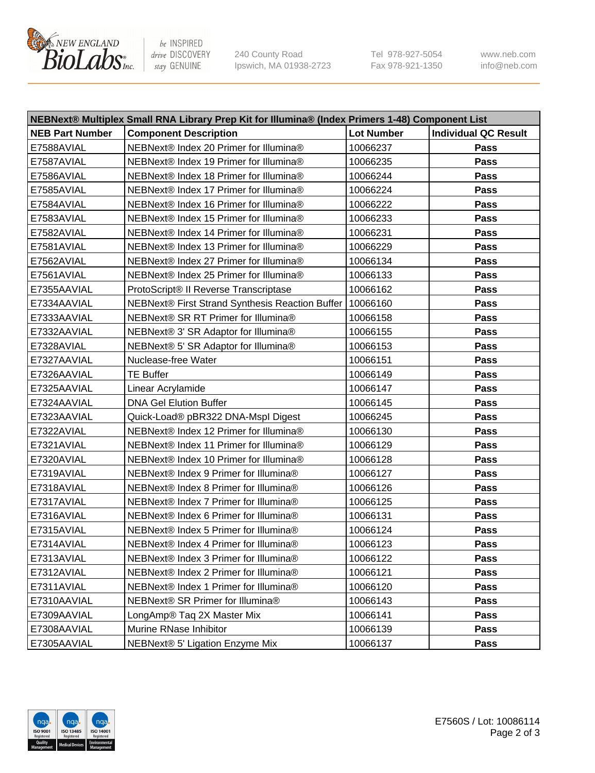

be INSPIRED drive DISCOVERY stay GENUINE

240 County Road Ipswich, MA 01938-2723 Tel 978-927-5054 Fax 978-921-1350 www.neb.com info@neb.com

| NEBNext® Multiplex Small RNA Library Prep Kit for Illumina® (Index Primers 1-48) Component List |                                                 |                   |                             |  |
|-------------------------------------------------------------------------------------------------|-------------------------------------------------|-------------------|-----------------------------|--|
| <b>NEB Part Number</b>                                                                          | <b>Component Description</b>                    | <b>Lot Number</b> | <b>Individual QC Result</b> |  |
| E7588AVIAL                                                                                      | NEBNext® Index 20 Primer for Illumina®          | 10066237          | Pass                        |  |
| E7587AVIAL                                                                                      | NEBNext® Index 19 Primer for Illumina®          | 10066235          | Pass                        |  |
| E7586AVIAL                                                                                      | NEBNext® Index 18 Primer for Illumina®          | 10066244          | Pass                        |  |
| E7585AVIAL                                                                                      | NEBNext® Index 17 Primer for Illumina®          | 10066224          | Pass                        |  |
| E7584AVIAL                                                                                      | NEBNext® Index 16 Primer for Illumina®          | 10066222          | Pass                        |  |
| E7583AVIAL                                                                                      | NEBNext® Index 15 Primer for Illumina®          | 10066233          | Pass                        |  |
| E7582AVIAL                                                                                      | NEBNext® Index 14 Primer for Illumina®          | 10066231          | Pass                        |  |
| E7581AVIAL                                                                                      | NEBNext® Index 13 Primer for Illumina®          | 10066229          | Pass                        |  |
| E7562AVIAL                                                                                      | NEBNext® Index 27 Primer for Illumina®          | 10066134          | Pass                        |  |
| E7561AVIAL                                                                                      | NEBNext® Index 25 Primer for Illumina®          | 10066133          | Pass                        |  |
| E7355AAVIAL                                                                                     | ProtoScript® II Reverse Transcriptase           | 10066162          | Pass                        |  |
| E7334AAVIAL                                                                                     | NEBNext® First Strand Synthesis Reaction Buffer | 10066160          | Pass                        |  |
| E7333AAVIAL                                                                                     | NEBNext® SR RT Primer for Illumina®             | 10066158          | Pass                        |  |
| E7332AAVIAL                                                                                     | NEBNext® 3' SR Adaptor for Illumina®            | 10066155          | Pass                        |  |
| E7328AVIAL                                                                                      | NEBNext® 5' SR Adaptor for Illumina®            | 10066153          | Pass                        |  |
| E7327AAVIAL                                                                                     | Nuclease-free Water                             | 10066151          | Pass                        |  |
| E7326AAVIAL                                                                                     | <b>TE Buffer</b>                                | 10066149          | Pass                        |  |
| E7325AAVIAL                                                                                     | Linear Acrylamide                               | 10066147          | Pass                        |  |
| E7324AAVIAL                                                                                     | <b>DNA Gel Elution Buffer</b>                   | 10066145          | Pass                        |  |
| E7323AAVIAL                                                                                     | Quick-Load® pBR322 DNA-Mspl Digest              | 10066245          | Pass                        |  |
| E7322AVIAL                                                                                      | NEBNext® Index 12 Primer for Illumina®          | 10066130          | <b>Pass</b>                 |  |
| E7321AVIAL                                                                                      | NEBNext® Index 11 Primer for Illumina®          | 10066129          | Pass                        |  |
| E7320AVIAL                                                                                      | NEBNext® Index 10 Primer for Illumina®          | 10066128          | Pass                        |  |
| E7319AVIAL                                                                                      | NEBNext® Index 9 Primer for Illumina®           | 10066127          | Pass                        |  |
| E7318AVIAL                                                                                      | NEBNext® Index 8 Primer for Illumina®           | 10066126          | Pass                        |  |
| E7317AVIAL                                                                                      | NEBNext® Index 7 Primer for Illumina®           | 10066125          | <b>Pass</b>                 |  |
| E7316AVIAL                                                                                      | NEBNext® Index 6 Primer for Illumina®           | 10066131          | <b>Pass</b>                 |  |
| E7315AVIAL                                                                                      | NEBNext® Index 5 Primer for Illumina®           | 10066124          | Pass                        |  |
| E7314AVIAL                                                                                      | NEBNext® Index 4 Primer for Illumina®           | 10066123          | Pass                        |  |
| E7313AVIAL                                                                                      | NEBNext® Index 3 Primer for Illumina®           | 10066122          | <b>Pass</b>                 |  |
| E7312AVIAL                                                                                      | NEBNext® Index 2 Primer for Illumina®           | 10066121          | Pass                        |  |
| E7311AVIAL                                                                                      | NEBNext® Index 1 Primer for Illumina®           | 10066120          | Pass                        |  |
| E7310AAVIAL                                                                                     | NEBNext® SR Primer for Illumina®                | 10066143          | Pass                        |  |
| E7309AAVIAL                                                                                     | LongAmp® Taq 2X Master Mix                      | 10066141          | Pass                        |  |
| E7308AAVIAL                                                                                     | Murine RNase Inhibitor                          | 10066139          | Pass                        |  |
| E7305AAVIAL                                                                                     | NEBNext® 5' Ligation Enzyme Mix                 | 10066137          | Pass                        |  |